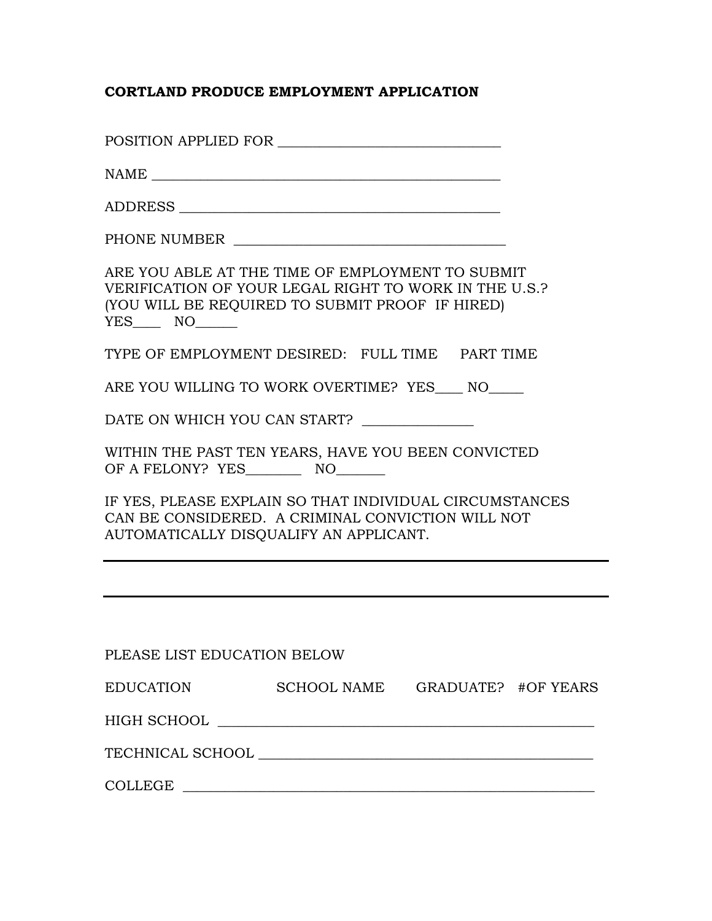## **CORTLAND PRODUCE EMPLOYMENT APPLICATION**

| PHONE NUMBER                                                                                                                                                 |
|--------------------------------------------------------------------------------------------------------------------------------------------------------------|
| ARE YOU ABLE AT THE TIME OF EMPLOYMENT TO SUBMIT<br>VERIFICATION OF YOUR LEGAL RIGHT TO WORK IN THE U.S.?<br>(YOU WILL BE REQUIRED TO SUBMIT PROOF IF HIRED) |
| TYPE OF EMPLOYMENT DESIRED: FULL TIME PART TIME                                                                                                              |
| ARE YOU WILLING TO WORK OVERTIME? YES____ NO____                                                                                                             |
| DATE ON WHICH YOU CAN START?                                                                                                                                 |
| WITHIN THE PAST TEN YEARS, HAVE YOU BEEN CONVICTED                                                                                                           |
| IF YES, PLEASE EXPLAIN SO THAT INDIVIDUAL CIRCUMSTANCES<br>CAN BE CONSIDERED. A CRIMINAL CONVICTION WILL NOT<br>AUTOMATICALLY DISQUALIFY AN APPLICANT.       |
|                                                                                                                                                              |
|                                                                                                                                                              |
| PLEASE LIST EDUCATION BELOW                                                                                                                                  |
| EDUCATION SCHOOL NAME GRADUATE? #OF YEARS                                                                                                                    |
|                                                                                                                                                              |
|                                                                                                                                                              |
| $\texttt{COLLEGE} \begin{tabular}{c} \texttt{\textbf{C}OLLEGE} \end{tabular}$                                                                                |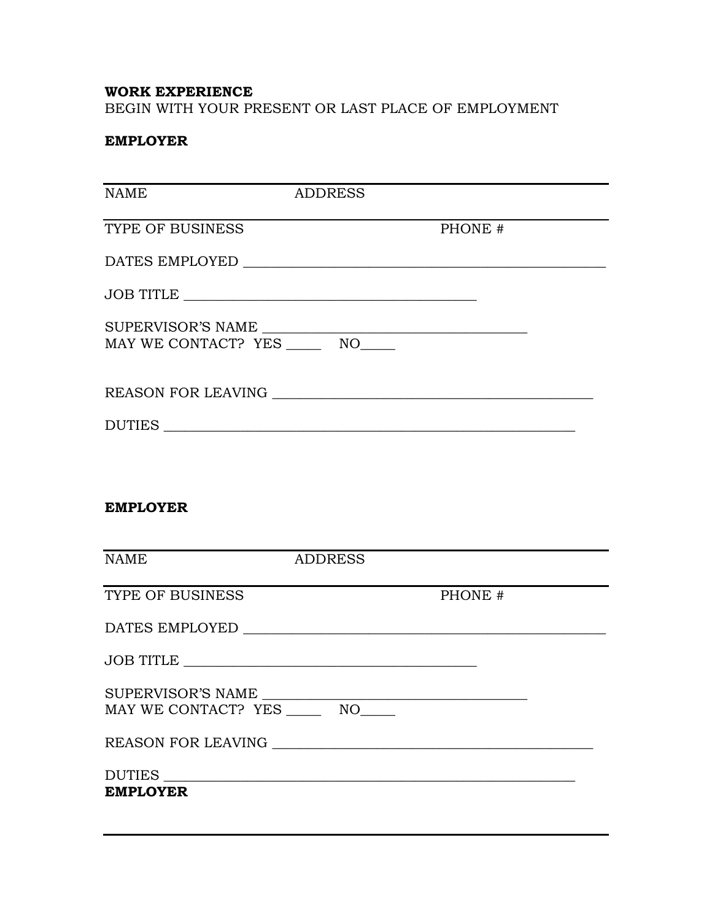## **WORK EXPERIENCE**

BEGIN WITH YOUR PRESENT OR LAST PLACE OF EMPLOYMENT

## **EMPLOYER**

| <b>NAME</b>                                              | <b>ADDRESS</b> |                                                                                                                                                                                                                                                                                                                                                                         |
|----------------------------------------------------------|----------------|-------------------------------------------------------------------------------------------------------------------------------------------------------------------------------------------------------------------------------------------------------------------------------------------------------------------------------------------------------------------------|
| TYPE OF BUSINESS                                         |                | PHONE #                                                                                                                                                                                                                                                                                                                                                                 |
|                                                          |                | DATES EMPLOYED $\_\_$                                                                                                                                                                                                                                                                                                                                                   |
|                                                          |                |                                                                                                                                                                                                                                                                                                                                                                         |
| SUPERVISOR'S NAME<br>MAY WE CONTACT? YES _______ NO_____ |                |                                                                                                                                                                                                                                                                                                                                                                         |
|                                                          |                |                                                                                                                                                                                                                                                                                                                                                                         |
| DUTIES                                                   |                |                                                                                                                                                                                                                                                                                                                                                                         |
|                                                          |                |                                                                                                                                                                                                                                                                                                                                                                         |
| <b>EMPLOYER</b>                                          |                |                                                                                                                                                                                                                                                                                                                                                                         |
| <b>NAME</b>                                              | <b>ADDRESS</b> |                                                                                                                                                                                                                                                                                                                                                                         |
| TYPE OF BUSINESS                                         |                | the control of the control of the control of the control of<br>PHONE #                                                                                                                                                                                                                                                                                                  |
|                                                          |                | $\textbf{DATES EMPLOYED} \begin{picture}(10,10) \put(0,0){\vector(1,0){100}} \put(15,0){\vector(1,0){100}} \put(15,0){\vector(1,0){100}} \put(15,0){\vector(1,0){100}} \put(15,0){\vector(1,0){100}} \put(15,0){\vector(1,0){100}} \put(15,0){\vector(1,0){100}} \put(15,0){\vector(1,0){100}} \put(15,0){\vector(1,0){100}} \put(15,0){\vector(1,0){100}} \put(15,0){$ |
|                                                          |                |                                                                                                                                                                                                                                                                                                                                                                         |
| SUPERVISOR'S NAME                                        |                |                                                                                                                                                                                                                                                                                                                                                                         |
| MAY WE CONTACT? YES _______ NO_____                      |                |                                                                                                                                                                                                                                                                                                                                                                         |
|                                                          |                |                                                                                                                                                                                                                                                                                                                                                                         |
| DUTIES<br><b>EMPLOYER</b>                                |                |                                                                                                                                                                                                                                                                                                                                                                         |
|                                                          |                |                                                                                                                                                                                                                                                                                                                                                                         |